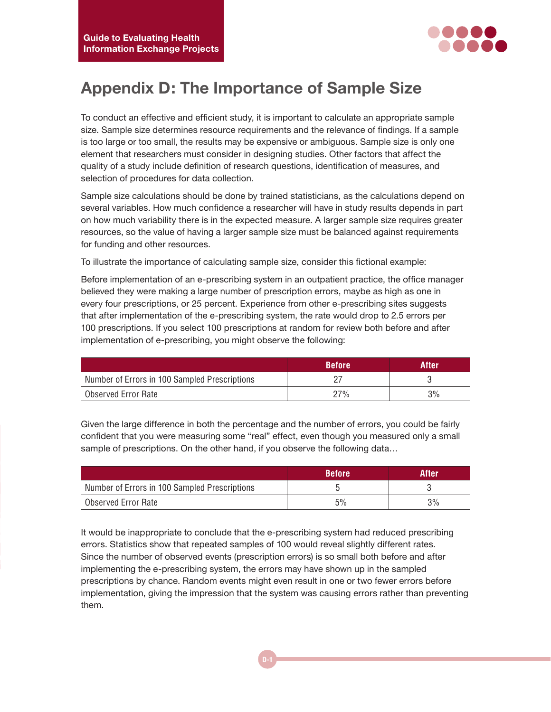

## **Appendix D: The Importance of Sample Size**

To conduct an effective and efficient study, it is important to calculate an appropriate sample size. Sample size determines resource requirements and the relevance of findings. If a sample is too large or too small, the results may be expensive or ambiguous. Sample size is only one element that researchers must consider in designing studies. Other factors that affect the quality of a study include definition of research questions, identification of measures, and selection of procedures for data collection.

Sample size calculations should be done by trained statisticians, as the calculations depend on several variables. How much confidence a researcher will have in study results depends in part on how much variability there is in the expected measure. A larger sample size requires greater resources, so the value of having a larger sample size must be balanced against requirements for funding and other resources.

To illustrate the importance of calculating sample size, consider this fictional example:

Before implementation of an e-prescribing system in an outpatient practice, the office manager believed they were making a large number of prescription errors, maybe as high as one in every four prescriptions, or 25 percent. Experience from other e-prescribing sites suggests that after implementation of the e-prescribing system, the rate would drop to 2.5 errors per 100 prescriptions. If you select 100 prescriptions at random for review both before and after implementation of e-prescribing, you might observe the following:

|                                               | <b>Before</b> | After |
|-----------------------------------------------|---------------|-------|
| Number of Errors in 100 Sampled Prescriptions |               |       |
| Observed Error Rate                           | 27%           | 3%    |

Given the large difference in both the percentage and the number of errors, you could be fairly confident that you were measuring some "real" effect, even though you measured only a small sample of prescriptions. On the other hand, if you observe the following data…

|                                               | <b>Before</b> | After |
|-----------------------------------------------|---------------|-------|
| Number of Errors in 100 Sampled Prescriptions |               |       |
| Observed Error Rate                           | 5%            | 3%    |

It would be inappropriate to conclude that the e-prescribing system had reduced prescribing errors. Statistics show that repeated samples of 100 would reveal slightly different rates. Since the number of observed events (prescription errors) is so small both before and after implementing the e-prescribing system, the errors may have shown up in the sampled prescriptions by chance. Random events might even result in one or two fewer errors before implementation, giving the impression that the system was causing errors rather than preventing them.